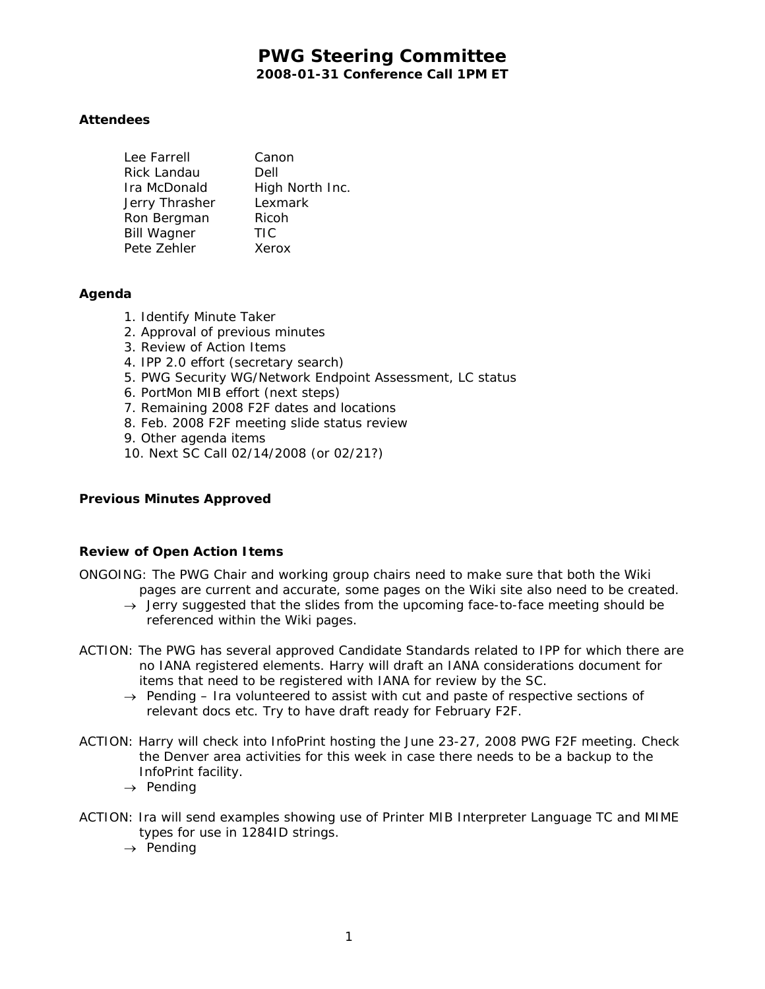# **PWG Steering Committee 2008-01-31 Conference Call 1PM ET**

# **Attendees**

| Canon           |
|-----------------|
| Dell            |
| High North Inc. |
| Lexmark         |
| Ricoh           |
| <b>TIC</b>      |
| Xerox           |
|                 |

## **Agenda**

- 1. Identify Minute Taker
- 2. Approval of previous minutes
- 3. Review of Action Items
- 4. IPP 2.0 effort (secretary search)
- 5. PWG Security WG/Network Endpoint Assessment, LC status
- 6. PortMon MIB effort (next steps)
- 7. Remaining 2008 F2F dates and locations
- 8. Feb. 2008 F2F meeting slide status review
- 9. Other agenda items
- 10. Next SC Call 02/14/2008 (or 02/21?)

## **Previous Minutes Approved**

## **Review of Open Action Items**

- ONGOING: The PWG Chair and working group chairs need to make sure that both the Wiki pages are current and accurate, some pages on the Wiki site also need to be created.
	- → *Jerry suggested that the slides from the upcoming face-to-face meeting should be referenced within the Wiki pages.*
- ACTION: The PWG has several approved Candidate Standards related to IPP for which there are no IANA registered elements. Harry will draft an IANA considerations document for items that need to be registered with IANA for review by the SC.
	- → *Pending Ira volunteered to assist with cut and paste of respective sections of relevant docs etc. Try to have draft ready for February F2F.*
- ACTION: Harry will check into InfoPrint hosting the June 23-27, 2008 PWG F2F meeting. Check the Denver area activities for this week in case there needs to be a backup to the InfoPrint facility.
	- → *Pending*
- ACTION: Ira will send examples showing use of Printer MIB Interpreter Language TC and MIME types for use in 1284ID strings.
	- → *Pending*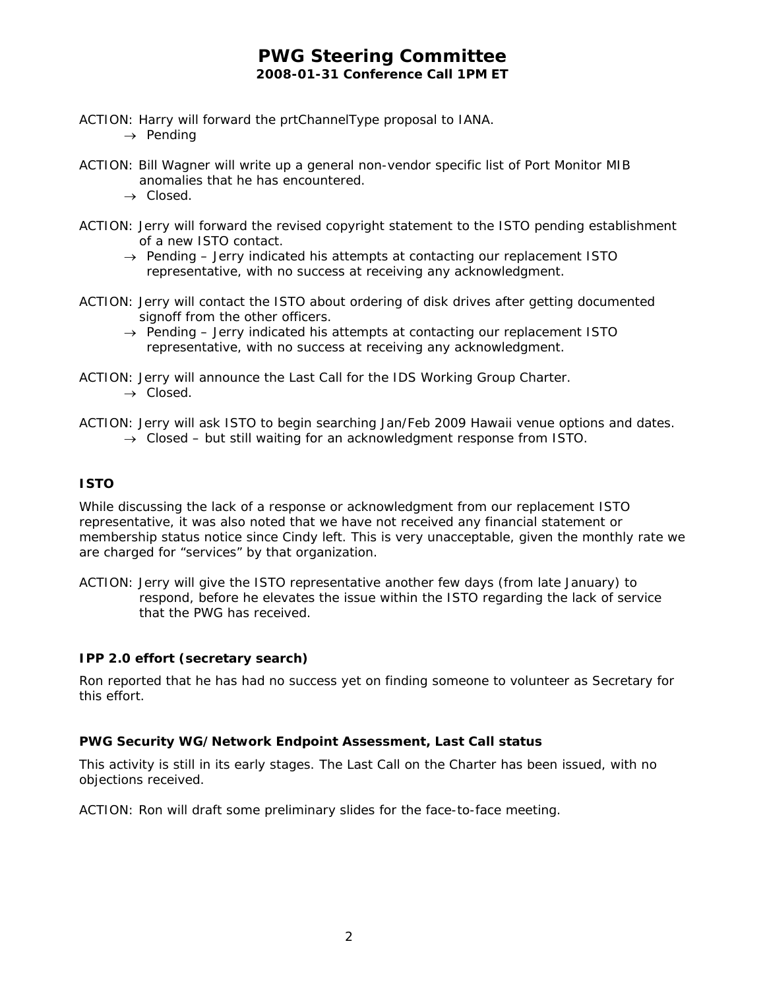# **PWG Steering Committee 2008-01-31 Conference Call 1PM ET**

- ACTION: Harry will forward the prtChannelType proposal to IANA. → *Pending*
- ACTION: Bill Wagner will write up a general non-vendor specific list of Port Monitor MIB anomalies that he has encountered.
	- → *Closed.*
- ACTION: Jerry will forward the revised copyright statement to the ISTO pending establishment of a new ISTO contact.
	- → *Pending Jerry indicated his attempts at contacting our replacement ISTO representative, with no success at receiving any acknowledgment.*
- ACTION: Jerry will contact the ISTO about ordering of disk drives after getting documented signoff from the other officers.
	- → *Pending Jerry indicated his attempts at contacting our replacement ISTO representative, with no success at receiving any acknowledgment.*
- ACTION: Jerry will announce the Last Call for the IDS Working Group Charter. → *Closed.*
- ACTION: Jerry will ask ISTO to begin searching Jan/Feb 2009 Hawaii venue options and dates. → *Closed – but still waiting for an acknowledgment response from ISTO.*

# **ISTO**

While discussing the lack of a response or acknowledgment from our replacement ISTO representative, it was also noted that we have not received any financial statement or membership status notice since Cindy left. This is very unacceptable, given the monthly rate we are charged for "services" by that organization.

ACTION: Jerry will give the ISTO representative another few days (from late January) to respond, before he elevates the issue within the ISTO regarding the lack of service that the PWG has received.

# **IPP 2.0 effort (secretary search)**

Ron reported that he has had no success yet on finding someone to volunteer as Secretary for this effort.

## **PWG Security WG/Network Endpoint Assessment, Last Call status**

This activity is still in its early stages. The Last Call on the Charter has been issued, with no objections received.

ACTION: Ron will draft some preliminary slides for the face-to-face meeting.